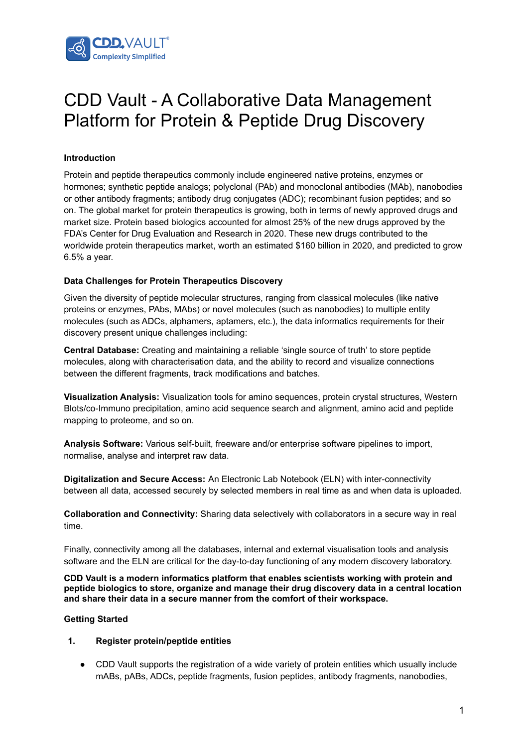

## CDD Vault - A Collaborative Data Management Platform for Protein & Peptide Drug Discovery

## **Introduction**

Protein and peptide therapeutics commonly include engineered native proteins, enzymes or hormones; synthetic peptide analogs; polyclonal (PAb) and monoclonal antibodies (MAb), nanobodies or other antibody fragments; antibody drug conjugates (ADC); recombinant fusion peptides; and so on. The global market for protein therapeutics is growing, both in terms of newly approved drugs and market size. Protein based biologics accounted for almost 25% of the new drugs approved by the FDA's Center for Drug Evaluation and Research in 2020. These new drugs contributed to the worldwide protein therapeutics market, worth an estimated \$160 billion in 2020, and predicted to grow 6.5% a year.

## **Data Challenges for Protein Therapeutics Discovery**

Given the diversity of peptide molecular structures, ranging from classical molecules (like native proteins or enzymes, PAbs, MAbs) or novel molecules (such as nanobodies) to multiple entity molecules (such as ADCs, alphamers, aptamers, etc.), the data informatics requirements for their discovery present unique challenges including:

**Central Database:** Creating and maintaining a reliable 'single source of truth' to store peptide molecules, along with characterisation data, and the ability to record and visualize connections between the different fragments, track modifications and batches.

**Visualization Analysis:** Visualization tools for amino sequences, protein crystal structures, Western Blots/co-Immuno precipitation, amino acid sequence search and alignment, amino acid and peptide mapping to proteome, and so on.

**Analysis Software:** Various self-built, freeware and/or enterprise software pipelines to import, normalise, analyse and interpret raw data.

**Digitalization and Secure Access:** An Electronic Lab Notebook (ELN) with inter-connectivity between all data, accessed securely by selected members in real time as and when data is uploaded.

**Collaboration and Connectivity:** Sharing data selectively with collaborators in a secure way in real time.

Finally, connectivity among all the databases, internal and external visualisation tools and analysis software and the ELN are critical for the day-to-day functioning of any modern discovery laboratory.

**CDD Vault is a modern informatics platform that enables scientists working with protein and peptide biologics to store, organize and manage their drug discovery data in a central location and share their data in a secure manner from the comfort of their workspace.**

## **Getting Started**

#### **1. Register protein/peptide entities**

● CDD Vault supports the registration of a wide variety of protein entities which usually include mABs, pABs, ADCs, peptide fragments, fusion peptides, antibody fragments, nanobodies,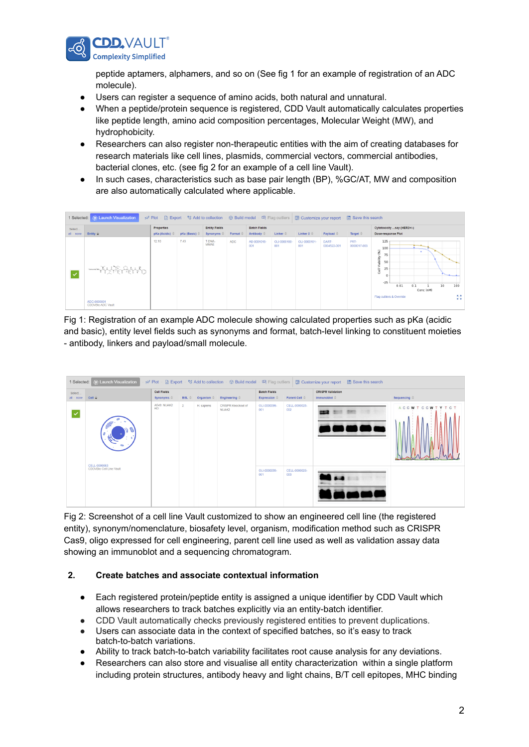

peptide aptamers, alphamers, and so on (See fig 1 for an example of registration of an ADC molecule).

- Users can register a sequence of amino acids, both natural and unnatural.
- When a peptide/protein sequence is registered, CDD Vault automatically calculates properties like peptide length, amino acid composition percentages, Molecular Weight (MW), and hydrophobicity.
- Researchers can also register non-therapeutic entities with the aim of creating databases for research materials like cell lines, plasmids, commercial vectors, commercial antibodies, bacterial clones, etc. (see fig 2 for an example of a cell line Vault).
- In such cases, characteristics such as base pair length (BP), %GC/AT, MW and composition are also automatically calculated where applicable.

| Select.      |                                                            | Properties     |             | <b>Entity Fields</b>                                                     |        | <b>Batch Fields</b> |                    |                     |                      | Cytotoxicity say (HER2+/-) |                                                                                                                           |           |                                |
|--------------|------------------------------------------------------------|----------------|-------------|--------------------------------------------------------------------------|--------|---------------------|--------------------|---------------------|----------------------|----------------------------|---------------------------------------------------------------------------------------------------------------------------|-----------|--------------------------------|
| $all - none$ | Entity $\hat{\mathbf{v}}$                                  | pKa (Acidic) = | pKa (Basic) | Synonyms $\stackrel{\scriptscriptstyle\oplus}{\scriptscriptstyle\oplus}$ | Format | Antibody $\hat{=}$  | $Linker =$         | Linker $2 \oplus$   | Payload $\oplus$     | Target $\equiv$            | Dose-response Plot                                                                                                        |           |                                |
|              | Transported DNA<br>ADC-0005001<br><b>CDDVBio ADC Vault</b> | 12.10          | 7.43        | T-DNA-<br><b>MMAE</b>                                                    | ADC.   | AB-0001015-<br>001  | OLI-0000150<br>001 | OLI-0000151-<br>001 | DART-<br>0004522-001 | PRT-<br>0000017-003        | 125<br>100<br>ê<br>75.<br>Viability<br>50<br>25<br>e∥<br>$\mathbf{0}$<br>$-25$<br>0.01<br>0.1<br>Flag outliers & Override | Conc (nM) | 10<br>100<br>成选<br><b>K St</b> |

Fig 1: Registration of an example ADC molecule showing calculated properties such as pKa (acidic and basic), entity level fields such as synonyms and format, batch-level linking to constituent moieties - antibody, linkers and payload/small molecule.



Fig 2: Screenshot of a cell line Vault customized to show an engineered cell line (the registered entity), synonym/nomenclature, biosafety level, organism, modification method such as CRISPR Cas9, oligo expressed for cell engineering, parent cell line used as well as validation assay data showing an immunoblot and a sequencing chromatogram.

## **2. Create batches and associate contextual information**

- Each registered protein/peptide entity is assigned a unique identifier by CDD Vault which allows researchers to track batches explicitly via an entity-batch identifier.
- CDD Vault automatically checks previously registered entities to prevent duplications.
- Users can associate data in the context of specified batches, so it's easy to track batch-to-batch variations.
- Ability to track batch-to-batch variability facilitates root cause analysis for any deviations.
- Researchers can also store and visualise all entity characterization within a single platform including protein structures, antibody heavy and light chains, B/T cell epitopes, MHC binding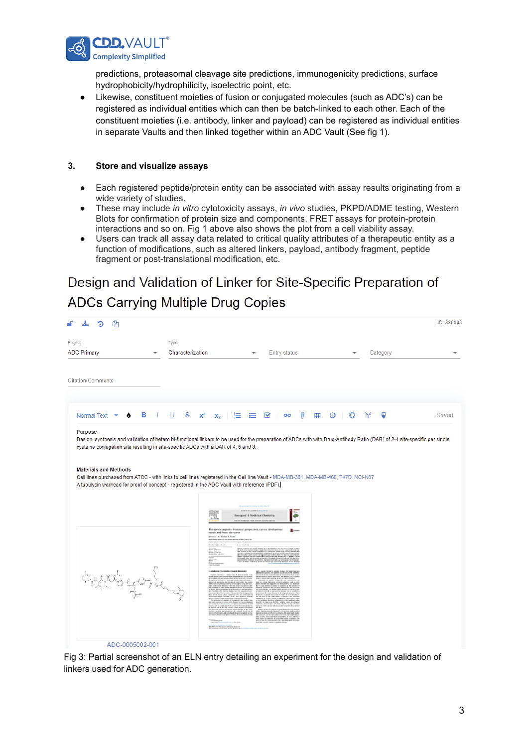

predictions, proteasomal cleavage site predictions, immunogenicity predictions, surface hydrophobicity/hydrophilicity, isoelectric point, etc.

● Likewise, constituent moieties of fusion or conjugated molecules (such as ADC's) can be registered as individual entities which can then be batch-linked to each other. Each of the constituent moieties (i.e. antibody, linker and payload) can be registered as individual entities in separate Vaults and then linked together within an ADC Vault (See fig 1).

## **3. Store and visualize assays**

- Each registered peptide/protein entity can be associated with assay results originating from a wide variety of studies.
- These may include *in vitro* cytotoxicity assays, *in vivo* studies, PKPD/ADME testing, Western Blots for confirmation of protein size and components, FRET assays for protein-protein interactions and so on. Fig 1 above also shows the plot from a cell viability assay.
- Users can track all assay data related to critical quality attributes of a therapeutic entity as a function of modifications, such as altered linkers, payload, antibody fragment, peptide fragment or post-translational modification, etc.

# Design and Validation of Linker for Site-Specific Preparation of

## **ADCs Carrying Multiple Drug Copies**

| ረት                                                                                                                                                                                                                                                                                                                                                                                                                                                   |                  |                                                                                                     |                                  |              |        |                    |          |       |
|------------------------------------------------------------------------------------------------------------------------------------------------------------------------------------------------------------------------------------------------------------------------------------------------------------------------------------------------------------------------------------------------------------------------------------------------------|------------------|-----------------------------------------------------------------------------------------------------|----------------------------------|--------------|--------|--------------------|----------|-------|
| Project                                                                                                                                                                                                                                                                                                                                                                                                                                              | Type             |                                                                                                     |                                  |              |        |                    |          |       |
| <b>ADC Primary</b>                                                                                                                                                                                                                                                                                                                                                                                                                                   | Characterization |                                                                                                     |                                  | Entry status |        |                    | Category |       |
| Citation/Comments                                                                                                                                                                                                                                                                                                                                                                                                                                    |                  |                                                                                                     |                                  |              |        |                    |          |       |
| в<br>1<br>Normal Text                                                                                                                                                                                                                                                                                                                                                                                                                                | S<br>U<br>$x^2$  | 這<br>x <sub>2</sub>                                                                                 | 這                                | ☑<br>GĐ      | n<br>睴 | $^\copyright$<br>O | Ū<br>Y   | Saved |
|                                                                                                                                                                                                                                                                                                                                                                                                                                                      |                  |                                                                                                     |                                  |              |        |                    |          |       |
| Purpose<br>Design, synthesis and validation of hetero bi-functional linkers to be used for the preparation of ADCs with with Drug-Antibody Ratio (DAR) of 2-4 site-specific per single<br>cysteine conjugation site resulting in site-specific ADCs with a DAR of 4, 6 and 8.<br><b>Materials and Methods</b><br>Cell lines purchased from ATCC - with links to cell lines registered in the Cell line Vault - MDA-MB-361, MDA-MB-468, T47D, NCI-N87 |                  |                                                                                                     |                                  |              |        |                    |          |       |
| A tubulysin warhead for proof of concept - registered in the ADC Vault with reference (PDF).                                                                                                                                                                                                                                                                                                                                                         |                  | This speutic poperder: Historical prespectives, cut one development<br>comets, and future devenuers | <b>&amp; Medicinal Chemistry</b> | ۳            |        |                    |          |       |

Fig 3: Partial screenshot of an ELN entry detailing an experiment for the design and validation of linkers used for ADC generation.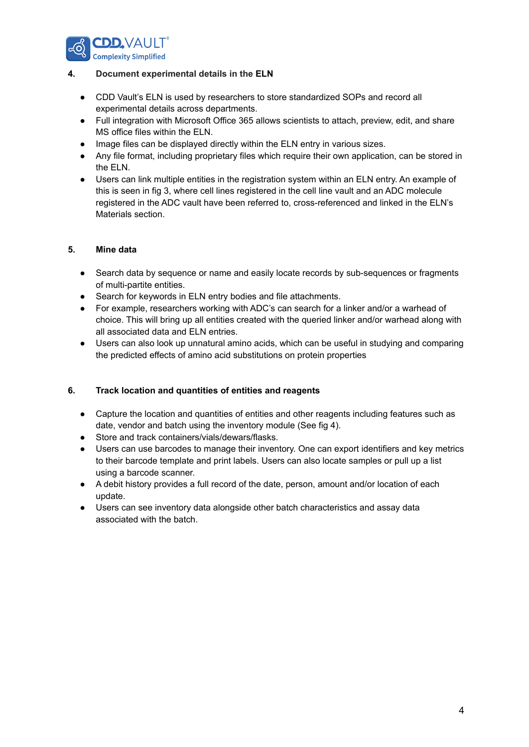

## **4. Document experimental details in the ELN**

- CDD Vault's ELN is used by researchers to store standardized SOPs and record all experimental details across departments.
- Full integration with Microsoft Office 365 allows scientists to attach, preview, edit, and share MS office files within the ELN.
- Image files can be displayed directly within the ELN entry in various sizes.
- Any file format, including proprietary files which require their own application, can be stored in the ELN.
- Users can link multiple entities in the registration system within an ELN entry. An example of this is seen in fig 3, where cell lines registered in the cell line vault and an ADC molecule registered in the ADC vault have been referred to, cross-referenced and linked in the ELN's Materials section.

## **5. Mine data**

- Search data by sequence or name and easily locate records by sub-sequences or fragments of multi-partite entities.
- Search for keywords in ELN entry bodies and file attachments.
- For example, researchers working with ADC's can search for a linker and/or a warhead of choice. This will bring up all entities created with the queried linker and/or warhead along with all associated data and ELN entries.
- Users can also look up unnatural amino acids, which can be useful in studying and comparing the predicted effects of amino acid substitutions on protein properties

## **6. Track location and quantities of entities and reagents**

- Capture the location and quantities of entities and other reagents including features such as date, vendor and batch using the inventory module (See fig 4).
- Store and track containers/vials/dewars/flasks.
- Users can use barcodes to manage their inventory. One can export identifiers and key metrics to their barcode template and print labels. Users can also locate samples or pull up a list using a barcode scanner.
- A debit history provides a full record of the date, person, amount and/or location of each update.
- Users can see inventory data alongside other batch characteristics and assay data associated with the batch.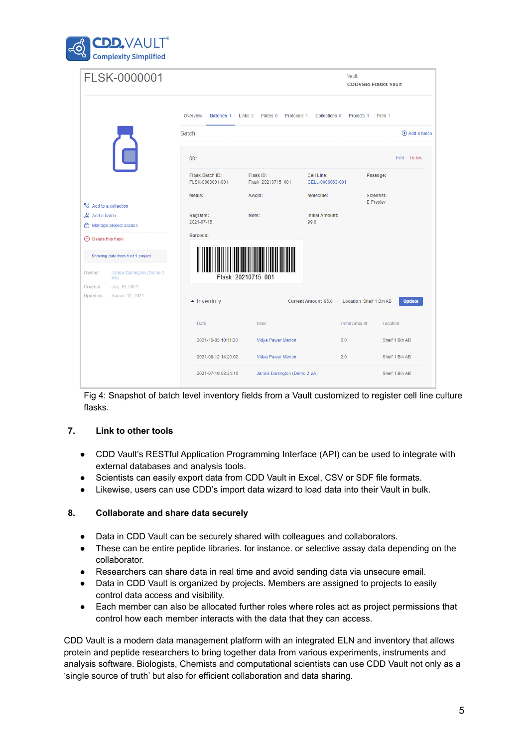

|                                                         | FLSK-0000001                     |                                     |                                                          | Vault:                                      | <b>CDDVBio Flasks Vault</b>    |                |  |
|---------------------------------------------------------|----------------------------------|-------------------------------------|----------------------------------------------------------|---------------------------------------------|--------------------------------|----------------|--|
|                                                         |                                  | Overview<br>Batches 1               | Plates <sub>0</sub><br>Links <sub>0</sub><br>Protocols 1 | Collections 0                               | Files 1<br>Projects 1          |                |  |
|                                                         |                                  | <b>Batch</b>                        | $\bigoplus$ Add a batch                                  |                                             |                                |                |  |
|                                                         |                                  | 001                                 |                                                          |                                             |                                | Edit · Delete  |  |
|                                                         |                                  | Flask-Batch ID:<br>FLSK-0000001-001 | Flask ID:<br>Flask_20210715_001                          | <b>Cell Line:</b><br>CELL-0000063-001       | Passage:                       |                |  |
| Add to a collection                                     |                                  | Media:                              | AAcid:                                                   | Molecule:                                   | <b>Scientist:</b><br>E Presley |                |  |
| $\mathbb{Z}^{\!+}$ Add a batch<br>Manage project access |                                  | <b>RegDate:</b><br>2021-07-15       | Note:                                                    | <b>Initial Amount:</b><br>99.0              |                                |                |  |
| $\Theta$ Delete this flask                              |                                  | Barcode:                            |                                                          |                                             |                                |                |  |
| Showing data from 1 of 1 project                        |                                  |                                     |                                                          |                                             |                                |                |  |
| Owner:                                                  | Janice Darlington (Demo 2<br>VA) |                                     | Flask 20210715 001                                       |                                             |                                |                |  |
| Created:<br>Updated:                                    | July 19, 2021<br>August 12, 2021 |                                     |                                                          |                                             |                                |                |  |
|                                                         |                                  | $\blacktriangle$ Inventory          |                                                          | Current Amount 95.0 Location Shelf 1 Bin AB |                                |                |  |
|                                                         |                                  | Date                                | User                                                     | <b>Debit Amount</b>                         | Location                       |                |  |
|                                                         |                                  | 2021-10-05 10:11:20                 | Vidya Pawar Menon                                        | 2.0                                         |                                | Shelf 1 Bin AB |  |
|                                                         |                                  | 2021-08-12 14:20:02                 | Vidya Pawar Menon                                        | 2.0                                         |                                | Shelf 1 Bin AB |  |
|                                                         |                                  | 2021-07-19 08:34:16                 | Janice Darlington (Demo 2 VA)                            |                                             |                                | Shelf 1 Bin AB |  |

Fig 4: Snapshot of batch level inventory fields from a Vault customized to register cell line culture flasks.

## **7. Link to other tools**

- CDD Vault's RESTful Application Programming Interface (API) can be used to integrate with external databases and analysis tools.
- Scientists can easily export data from CDD Vault in Excel, CSV or SDF file formats.
- Likewise, users can use CDD's import data wizard to load data into their Vault in bulk.

## **8. Collaborate and share data securely**

- Data in CDD Vault can be securely shared with colleagues and collaborators.
- These can be entire peptide libraries. for instance. or selective assay data depending on the collaborator.
- Researchers can share data in real time and avoid sending data via unsecure email.
- Data in CDD Vault is organized by projects. Members are assigned to projects to easily control data access and visibility.
- Each member can also be allocated further roles where roles act as project permissions that control how each member interacts with the data that they can access.

CDD Vault is a modern data management platform with an integrated ELN and inventory that allows protein and peptide researchers to bring together data from various experiments, instruments and analysis software. Biologists, Chemists and computational scientists can use CDD Vault not only as a 'single source of truth' but also for efficient collaboration and data sharing.